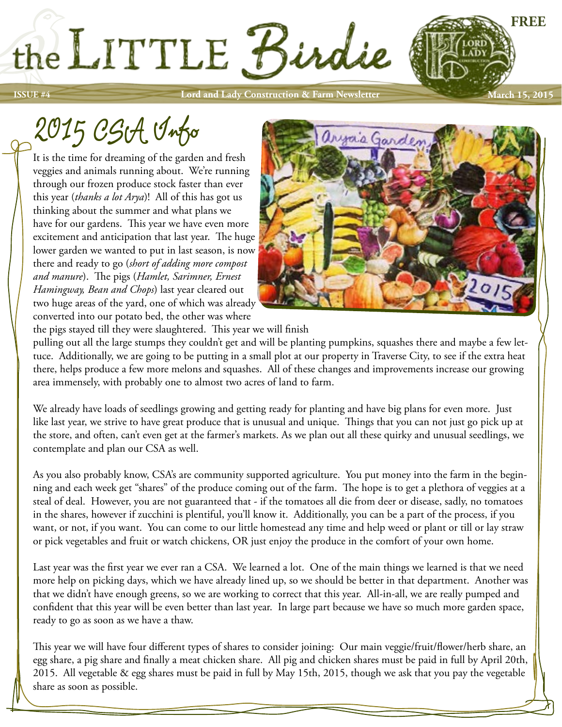**ISSUE #4 Lord and Lady Construction & Farm Newsletter** 

# 2015 CSA Info

It is the time for dreaming of the garden and fresh veggies and animals running about. We're running through our frozen produce stock faster than ever this year (*thanks a lot Arya*)! All of this has got us thinking about the summer and what plans we have for our gardens. This year we have even more excitement and anticipation that last year. The huge lower garden we wanted to put in last season, is now there and ready to go (*short of adding more compost and manure*). The pigs (*Hamlet, Sarimner, Ernest Hamingway, Bean and Chops*) last year cleared out two huge areas of the yard, one of which was already converted into our potato bed, the other was where



**FREE**

**March 15, 2015**

the pigs stayed till they were slaughtered. This year we will finish

the LITTLE Birdie

pulling out all the large stumps they couldn't get and will be planting pumpkins, squashes there and maybe a few lettuce. Additionally, we are going to be putting in a small plot at our property in Traverse City, to see if the extra heat there, helps produce a few more melons and squashes. All of these changes and improvements increase our growing area immensely, with probably one to almost two acres of land to farm.

We already have loads of seedlings growing and getting ready for planting and have big plans for even more. Just like last year, we strive to have great produce that is unusual and unique. Things that you can not just go pick up at the store, and often, can't even get at the farmer's markets. As we plan out all these quirky and unusual seedlings, we contemplate and plan our CSA as well.

As you also probably know, CSA's are community supported agriculture. You put money into the farm in the beginning and each week get "shares" of the produce coming out of the farm. The hope is to get a plethora of veggies at a steal of deal. However, you are not guaranteed that - if the tomatoes all die from deer or disease, sadly, no tomatoes in the shares, however if zucchini is plentiful, you'll know it. Additionally, you can be a part of the process, if you want, or not, if you want. You can come to our little homestead any time and help weed or plant or till or lay straw or pick vegetables and fruit or watch chickens, OR just enjoy the produce in the comfort of your own home.

Last year was the first year we ever ran a CSA. We learned a lot. One of the main things we learned is that we need more help on picking days, which we have already lined up, so we should be better in that department. Another was that we didn't have enough greens, so we are working to correct that this year. All-in-all, we are really pumped and confident that this year will be even better than last year. In large part because we have so much more garden space, ready to go as soon as we have a thaw.

This year we will have four different types of shares to consider joining: Our main veggie/fruit/flower/herb share, an egg share, a pig share and finally a meat chicken share. All pig and chicken shares must be paid in full by April 20th, 2015. All vegetable & egg shares must be paid in full by May 15th, 2015, though we ask that you pay the vegetable share as soon as possible.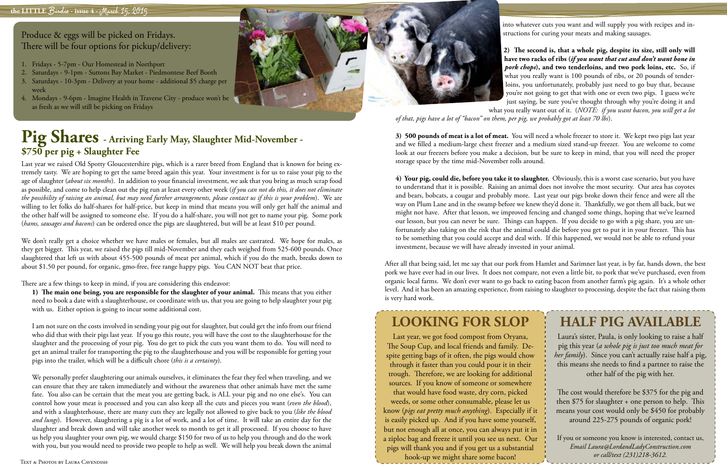Last year we raised Old Spotty Gloucestershire pigs, which is a rarer breed from England that is known for being extremely tasty. We are hoping to get the same breed again this year. Your investment is for us to raise your pig to the age of slaughter (*about six months*). In addition to your financial investment, we ask that you bring as much scrap food as possible, and come to help clean out the pig run at least every other week (*if you can not do this, it does not eliminate the possibility of raising an animal, but may need further arrangements, please contact us if this is your problem*). We are willing to let folks do half-shares for half-price, but keep in mind that means you will only get half the animal and the other half will be assigned to someone else. If you do a half-share, you will not get to name your pig. Some pork (*hams, sausages and bacons*) can be ordered once the pigs are slaughtered, but will be at least \$10 per pound.

We don't really get a choice whether we have males or females, but all males are castrated. We hope for males, as they get bigger. This year, we raised the pigs till mid-November and they each weighed from 525-600 pounds. Once slaughtered that left us with about 455-500 pounds of meat per animal, which if you do the math, breaks down to about \$1.50 per pound, for organic, gmo-free, free range happy pigs. You CAN NOT beat that price.

There are a few things to keep in mind, if you are considering this endeavor:

**1) The main one being, you are responsible for the slaughter of your animal.** This means that you either need to book a date with a slaughterhouse, or coordinate with us, that you are going to help slaughter your pig with us. Either option is going to incur some additional cost.

**2) The second is, that a whole pig, despite its size, still only will have two racks of ribs (***if you want that cut and don't want bone in pork chops***), and two tenderloins, and two pork loins, etc.** So, if what you really want is 100 pounds of ribs, or 20 pounds of tenderloins, you unfortunately, probably just need to go buy that, because you're not going to get that with one or even two pigs. I guess we're just saying, be sure you've thought through why you're doing it and

I am not sure on the costs involved in sending your pig out for slaughter, but could get the info from our friend who did that with their pigs last year. If you go this route, you will have the cost to the slaughterhouse for the slaughter and the processing of your pig. You do get to pick the cuts you want them to do. You will need to get an animal trailer for transporting the pig to the slaughterhouse and you will be responsible for getting your pigs into the trailer, which will be a difficult chore (*this is a certainty*).

We personally prefer slaughtering our animals ourselves, it eliminates the fear they feel when traveling, and we can ensure that they are taken immediately and without the awareness that other animals have met the same fate. You also can be certain that the meat you are getting back, is ALL your pig and no one else's. You can control how your meat is processed and you can also keep all the cuts and pieces you want (*even the blood*), and with a slaughterhouse, there are many cuts they are legally not allowed to give back to you (*like the blood and lungs*). However, slaughtering a pig is a lot of work, and a lot of time. It will take an entire day for the slaughter and break down and will take another week to month to get it all processed. If you choose to have us help you slaughter your own pig, we would charge \$150 for two of us to help you through and do the work with you, but you would need to provide two people to help as well. We will help you break down the animal

## **Pig Shares - Arriving Early May, Slaughter Mid-November - \$750 per pig + Slaughter Fee**

Produce & eggs will be picked on Fridays. There will be four options for pickup/delivery:

- 1. Fridays 5-7pm Our Homestead in Northport
- 2. Saturdays 9-1pm Suttons Bay Market Piedmontese Beef Booth
- 3. Saturdays 10-3pm Delivery at your home additional \$5 charge per week
- 4. Mondays 9-6pm Imagine Health in Traverse City produce won't be as fresh as we will still be picking on Fridays





into whatever cuts you want and will supply you with recipes and instructions for curing your meats and making sausages.

what you really want out of it. (*NOTE: if you want bacon, you will get a lot of that, pigs have a lot of "bacon" on them, per pig, we probably got at least 70 lbs*).

**3) 500 pounds of meat is a lot of meat.** You will need a whole freezer to store it. We kept two pigs last year and we filled a medium-large chest freezer and a medium sized stand-up freezer. You are welcome to come look at our freezers before you make a decision, but be sure to keep in mind, that you will need the proper storage space by the time mid-November rolls around.

**4) Your pig, could die, before you take it to slaughter.** Obviously, this is a worst case scenario, but you have to understand that it is possible. Raising an animal does not involve the most security. Our area has coyotes and bears, bobcats, a cougar and probably more. Last year our pigs broke down their fence and were all the way on Plum Lane and in the swamp before we knew they'd done it. Thankfully, we got them all back, but we might not have. After that lesson, we improved fencing and changed some things, hoping that we've learned our lesson, but you can never be sure. Things can happen. If you decide to go with a pig share, you are unfortunately also taking on the risk that the animal could die before you get to put it in your freezer. This has to be something that you could accept and deal with. If this happened, we would not be able to refund your investment, because we will have already invested in your animal.

After all that being said, let me say that our pork from Hamlet and Sarimner last year, is by far, hands down, the best pork we have ever had in our lives. It does not compare, not even a little bit, to pork that we've purchased, even from organic local farms. We don't ever want to go back to eating bacon from another farm's pig again. It's a whole other level. And it has been an amazing experience, from raising to slaughter to processing, despite the fact that raising them is very hard work.

## **HALF PIG AVAILABLE**

Laura's sister, Paula, is only looking to raise a half pig this year (*a whole pig is just too much meat for her family*). Since you can't actually raise half a pig, this means she needs to find a partner to raise the other half of the pig with her.

The cost would therefore be \$375 for the pig and then \$75 for slaughter + one person to help. This means your cost would only be \$450 for probably around 225-275 pounds of organic pork!

If you or someone you know is interested, contact us, *Email Laura@LordandLadyConstruction.com or call/text (231)218-3612.*

## **LOOKING FOR SLOP**

Last year, we got food compost from Oryana, The Soup Cup, and local friends and family. Despite getting bags of it often, the pigs would chow through it faster than you could pour it in their trough. Therefore, we are looking for additional sources. If you know of someone or somewhere that would have food waste, dry corn, picked weeds, or some other consumable, please let us know (*pigs eat pretty much anything*). Especially if it is easily picked up. And if you have some yourself, but not enough all at once, you can always put it in a ziploc bag and freeze it until you see us next. Our pigs will thank you and if you get us a substantial hook-up we might share some bacon!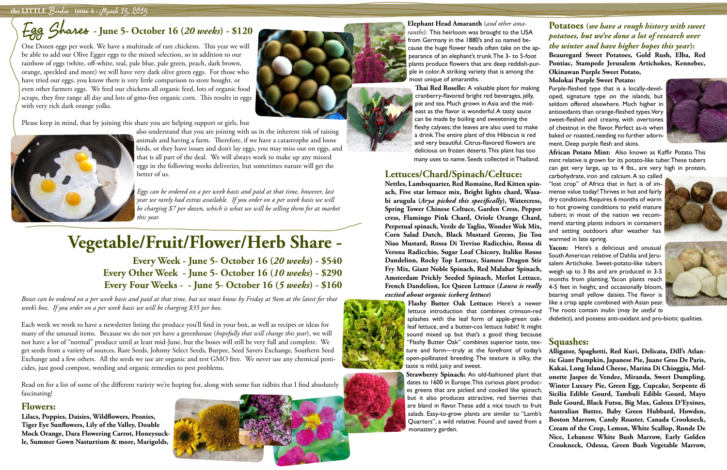### **the LITTLE** Birdie **- issue 4 -** March 15, 2015

## Elephant Head Amaranth (*and other ama*-<br>Egg Shares - June 5- October 16 (20 weeks) - \$120

## **Vegetable/Fruit/Flower/Herb Share -**

**Every Week - June 5- October 16 (***20 weeks***) - \$540 Every Other Week - June 5- October 16 (***10 weeks***) - \$290 Every Four Weeks - - June 5- October 16 (***5 weeks***) - \$160**

*Boxes can be ordered on a per week basis and paid at that time, but we must know by Friday at 9am at the latest for that week's box. If you order on a per week basis we will be charging \$35 per box.* 

Each week we work to have a newsletter listing the produce you'll find in your box, as well as recipes or ideas for many of the unusual items. Because we do not yet have a greenhouse (*hopefully that will change this year*), we will not have a lot of "normal" produce until at least mid-June, but the boxes will still be very full and complete. We get seeds from a variety of sources, Rare Seeds, Johnny Select Seeds, Burpee, Seed Savers Exchange, Southern Seed Exchange and a few others. All the seeds we use are organic and test GMO free. We never use any chemical pesticides, just good compost, weeding and organic remedies to pest problems.

Read on for a list of some of the different variety we're hoping for, along with some fun tidbits that I find absolutely fascinating!

### **Flowers:**

**Lilacs, Poppies, Daisies, Wildflowers, Peonies, Tiger Eye Sunflowers, Lily of the Valley, Double Mock Orange, Dara Flowering Carrot, Honeysuckle, Summer Gown Nasturtium & more, Marigolds,** 



One Dozen eggs per week. We have a multitude of rare chickens. This year we will be able to add our Olive Egger eggs to the mixed selection, so in addition to our rainbow of eggs (white, off-white, teal, pale blue, pale green, peach, dark brown, orange, speckled and more) we will have very dark olive green eggs. For those who have tried our eggs, you know there is very little comparison to store bought, or even other farmers eggs. We feed our chickens all organic feed, lots of organic food scraps, they free range all day and lots of gmo-free organic corn. This results in eggs with very rich dark orange yolks.

Please keep in mind, that by joining this share you are helping support or girls, but



also understand that you are joining with us in the inherent risk of raising animals and having a farm. Therefore, if we have a catastrophe and loose birds, or they have issues and don't lay eggs, you may miss out on eggs, and that is all part of the deal. We will always work to make up any missed eggs in the following weeks deliveries, but sometimes nature will get the better of us.

*Eggs can be ordered on a per week basis and paid at that time, however, last year we rarely had extras available. If you order on a per week basis we will be charging \$7 per dozen, which is what we will be selling them for at market this year.* 

**Thai Red Roselle:** A valuable plant for making cranberry-flavored bright red beverages, jelly, pie and tea. Much grown in Asia and the mideast as the flavor is wonderful. A tasty sauce can be made by boiling and sweetening the fleshy calyxes; the leaves are also used to make a drink. The entire plant of this Hibiscus is red and very beautiful. Citrus-flavored flowers are delicious on frozen deserts. This plant has too many uses to name. Seeds collected in Thailand.

### **Lettuces/Chard/Spinach/Celtuce:**

*ranths*): This heirloom was brought to the USA from Germany in the 1880's and so named because the huge flower heads often take on the appearance of an elephant's trunk. The 3- to 5-foot plants produce flowers that are deep reddish-purple in color. A striking variety that is among the most unique of amaranths. **Potatoes (***we have a rough history with sweet potatoes, but we've done a lot of research over the winter and have higher hopes this year***): Beauregard Sweet Potatoes, Gold Rush, Elba, Red Pontiac, Stampede Jerusalem Artichokes, Kennebec, Okinawan Purple Sweet Potato, Molokai Purple Sweet Potato:** 

sound mixed up but that's a good thing because "Flashy Butter Oak" combines superior taste, tex-

taste is mild, juicy and sweet.

**Strawberry Spinach:** An old-fashioned plant that dates to 1600 in Europe. This curious plant produces greens that are picked and cooked like spinach, but it also produces attractive, red berries that are bland in flavor. These add a nice touch to fruit salads. Easy-to-grow plants are similar to "Lamb's Quarters", a wild relative. Found and saved from a monastery garden.

**Nettles, Lambsquarter, Red Romaine, Red Kitten spinach, Five star lettuce mix, Bright lights chard, Wasabi arugula (***Arya picked this specifically***), Watercress, Spring Tower Chinese Celtuce, Garden Cress, Pepper cress, Flamingo Pink Chard, Oriole Orange Chard, Perpetual spinach, Verde de Taglio, Wonder Wok Mix, Corn Salad Dutch, Black Mustard Greens, Jiu Tou Niao Mustard, Rossa Di Treviso Radicchio, Rossa di Verona Radicchio, Sugar Loaf Chicory, Italiko Rosso Dandelion, Rocky Top Lettuce, Siamese Dragon Stir Fry Mix, Giant Noble Spinach, Red Malabar Spinach, Amsterdam Prickly Seeded Spinach, Merlot Lettuce, French Dandelion, Ice Queen Lettuce (***Laura is really excited about organic iceberg lettuce***) Flashy Butter Oak Lettuce:** Here's a newer lettuce introduction that combines crimson-red carbohydrate, iron and calcium. A so called "lost crop" of Africa that in fact is of immense value today! Thrives in hot and fairly dry conditions. Requires 6 months of warm to hot growing conditions to yield mature tubers; in most of the nation we recommend starting plants indoors in containers and setting outdoors after weather has warmed in late spring. **Yacon:** Here's a delicious and unusual South American relative of Dahlia and Jerusalem Artichoke. Sweet-potato-like tubers weigh up to 3 lbs and are produced in 3-5 months from planting. Yacon plants reach 4-5 feet in height, and occasionally bloom, bearing small yellow daisies. The flavor is like a crisp apple combined with Asian pear. The roots contain inulin (*may be useful to* 



Purple-fleshed type that is a locally-developed, signature type on the islands, but seldom offered elsewhere. Much higher in antioxidants than orange-fleshed types. Very sweet-fleshed and creamy, with overtones of chestnut in the flavor. Perfect as-is when baked or roasted, needing no further adorn-

splashes with the leaf form of apple-green oakleaf lettuce, and a butter-cos lettuce habit! It might *diabetics*), and possess anti-oxidant and pro-biotic qualities.



**African Potato Mint:** Also known as Kaffir Potato. This mint relative is grown for its potato-like tuber. These tubers can get very large, up to 4 lbs., are very high in protein,

ture and form—truly at the forefront of today's open-pollinated breeding. The texture is silky, the **Alligator, Spaghetti, Red Kuri, Delicata, Dill's Atlantic Giant Pumpkin, Japanese Pie, Juane Gros De Paris, Kakai, Long Island Cheese, Marina Di Chioggia, Melonette Jaspee de Vendee, Miranda, Sweet Dumpling, Winter Luxury Pie, Green Egg, Cupcake, Serpente di Sicilia Edible Gourd, Tambuli Edible Gourd, Mayo Bule Gourd, Black Futsu, Big Max, Galeux D'Eysines, Australian Butter, Baby Green Hubbard, Howden, Boston Marrow, Candy Roaster, Canada Crookneck, Cream of the Crop, Lemon, White Scallop, Ronde De Nice, Lebanese White Bush Marrow, Early Golden Crookneck, Odessa, Green Bush Vegetable Marrow,** 





### **Squashes:**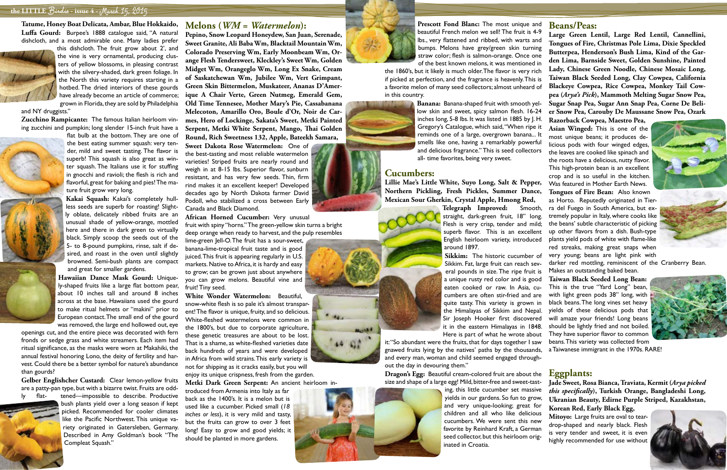### **the LITTLE** Birdie **- issue 4 -** March 15, 2015

**Tatume, Honey Boat Delicata, Ambar, Blue Hokkaido, Luffa Gourd:** Burpee's 1888 catalogue said, "A natural dishcloth, and a most admirable one. Many ladies prefer



this dishcloth. The fruit grow about 2', and the vine is very ornamental, producing clusters of yellow blossoms, in pleasing contrast with the silvery-shaded, dark green foliage. In the North this variety requires starting in a hotbed. The dried interiors of these gourds have already become an article of commerce; grown in Florida, they are sold by Philadelphia

and NY druggists."

**Zucchino Rampicante:** The famous Italian heirloom vining zucchini and pumpkin; long slender 15-inch fruit have a



flat bulb at the bottom. They are one of the best eating summer squash: very tender, mild and sweet tasting. The flavor is superb! This squash is also great as winter squash. The Italians use it for stuffing in gnocchi and ravioli; the flesh is rich and flavorful, great for baking and pies! The mature fruit grow very long.

**Kakai Squash:** Kakai's completely hullless seeds are superb for roasting! Slightly oblate, delicately ribbed fruits are an unusual shade of yellow-orange, mottled here and there in dark green to virtually black. Simply scoop the seeds out of the 5- to 8-pound pumpkins, rinse, salt if desired, and roast in the oven until slightly browned. Semi-bush plants are compact and great for smaller gardens.

**Hawaiian Dance Mask Gourd:** Uniquely-shaped fruits like a large flat bottom pear, about 10 inches tall and around 8 inches across at the base. Hawaiians used the gourd to make ritual helmets or "makini" prior to European contact. The small end of the gourd was removed, the large end hollowed out, eye

lime-green Jell-O. The fruit has a sour-sweet, banana-lime-tropical fruit taste and is good juiced. This fruit is appearing regularly in U.S. markets. Native to Africa, it is hardy and easy to grow; can be grown just about anywhere you can grow melons. Beautiful vine and fruit! Tiny seed.

openings cut, and the entire piece was decorated with fern fronds or sedge grass and white streamers. Each item had ritual significance, as the masks were worn at Makahiki, the annual festival honoring Lono, the deity of fertility and harvest. Could there be a better symbol for nature's abundance than gourds?

**Gelber Englishcher Custard:** Clear lemon-yellow fruits are a patty-pan type, but with a bizarre twist. Fruits are odd-



ly flat- tened—impossible to describe. Productive bush plants yield over a long season if kept picked. Recommended for cooler climates like the Pacific Northwest. This unique variety originated in Gatersleben, Germany. Described in Amy Goldman's book "The Compleat Squash."

### **Melons (***WM = Watermelon***):**

**Pepino, Snow Leopard Honeydew, San Juan, Serenade, Sweet Granite, Ali Baba Wm, Blacktail Mountain Wm, Colorado Preserving Wm, Early Moonbeam Wm, Orange Flesh Tendersweet, Kleckley's Sweet Wm, Golden Midget Wm, Orangeglo Wm, Long Ex Snake, Cream of Saskatchewan Wm, Jubilee Wm, Vert Grimpant, Green Skin Bittermelon, Muskateer, Ananas D'Amerique A Chair Verte, Green Nutmeg, Emerald Gem, Old Time Tennesee, Mother Mary's Pie, Cassabanana Melecoton, Amarillo Oro, Boule d'Or, Noir de Carmes, Hero of Lockinge, Sakata's Sweet, Metki Painted Serpent, Metki White Serpent, Mango, Thai Golden Round, Rich Sweetness 132, Apple, Bateekh Samara,** 

**Sweet Dakota Rose Watermelon:** One of the best-tasting and most reliable watermelon varieties! Striped fruits are nearly round and weigh in at 8-15 lbs. Superior flavor, sunburn resistant, and has very few seeds. Thin, firm rind makes it an excellent keeper! Developed decades ago by North Dakota farmer David Podoll, who stabilized a cross between Early Canada and Black Diamond.

**African Horned Cucumber:** Very unusual fruit with spiny "horns." The green-yellow skin turns a bright deep orange when ready to harvest, and the pulp resembles

**White Wonder Watermelon:** Beautiful, snow-white flesh is so pale it's almost transparent! The flavor is unique, fruity, and so delicious. White-fleshed watermelons were common in the 1800's, but due to corporate agriculture, these genetic treasures are about to be lost. That is a shame, as white-fleshed varieties date back hundreds of years and were developed in Africa from wild strains. This early variety is not for shipping as it cracks easily, but you will enjoy its unique crispness, fresh from the garden.

**Metki Dark Green Serpent:** An ancient heirloom in-

troduced from Armenia into Italy as far back as the 1400's. It is a melon but is used like a cucumber. Picked small (*18 inches or less*), it is very mild and tasty, but the fruits can grow to over 3 feet long! Easy to grow and good yields; it should be planted in more gardens.



**Prescott Fond Blanc:** The most unique and beautiful French melon we sell! The fruit is 4-9

### **Cucumbers:**

**Lillie Mae's Little White, Suyo Long, Salt & Pepper, Northern Pickling, Fresh Pickles, Summer Dance, Mexican Sour Gherkin, Crystal Apple, Hmong Red,** 



lbs., very flattened and ribbed, with warts and bumps. Melons have grey/green skin turning straw color; flesh is salmon-orange. Once one of the best known melons, it was mentioned in the 1860's, but it likely is much older. The flavor is very rich if picked at perfection, and the fragrance is heavenly. This is a favorite melon of many seed collectors; almost unheard of in this country. **Banana:** Banana-shaped fruit with smooth yellow skin and sweet, spicy salmon flesh. 16-24 **Large Green Lentil, Large Red Lentil, Cannellini, Tongues of Fire, Christmas Pole Lima, Dixie Speckled Butterpea, Henderson's Bush Lima, Kind of the Garden Lima, Barnside Sweet, Golden Sunshine, Painted Lady, Chinese Green Noodle, Chinese Mosaic Long, Taiwan Black Seeded Long, Clay Cowpea, California Blackeye Cowpea, Rice Cowpea, Monkey Tail Cowpea (***Arya's Pick***), Mammoth Melting Sugar Snow Pea, Sugar Snap Pea, Sugar Ann Snap Pea, Corne De Belier Snow Pea, Carouby De Maussane Snow Pea, Ozark** 



Sikkim. Fat, large fruit can reach several pounds in size. The ripe fruit is a unique rusty red color and is good eaten cooked or raw. In Asia, cucumbers are often stir-fried and are quite tasty. This variety is grown in the Himalayas of Sikkim and Nepal. Sir Joseph Hooker first discovered it in the eastern Himalayas in 1848. Here is part of what he wrote about

inches long, 5-8 lbs. It was listed in 1885 by J. H. Gregory's Catalogue, which said, "When ripe it reminds one of a large, overgrown banana... It smells like one, having a remarkably powerful and delicious fragrance." This is seed collectors all- time favorites, being very sweet. **Razorback Cowpea, Maestro Pea, Asian Winged:** This is one of the most unique beans; it produces delicious pods with four winged edges, the leaves are cooked like spinach and the roots have a delicious, nutty flavor. This high-protein bean is an excellent crop and is so useful in the kitchen. Was featured in Mother Earth News.

**Dragon's Egg:** Beautiful cream-colored fruit are about the size and shape of a large egg! Mild, bitter-free and sweet-tast-

> ing, this little cucumber set massive yields in our gardens. So fun to grow, and very unique-looking; great for children and all who like delicious cucumbers. We were sent this new favorite by Reinhard Kraft, a German seed collector, but this heirloom originated in Croatia.



 $\leftrightarrow$  02

**Telegraph Improved:** Smooth, straight, dark-green fruit, 18" long. Flesh is very crisp, tender and mild; superb flavor. This is an excellent English heirloom variety, introduced around 1897. Sikkim: The historic cucumber of **Tongues of Fire Bean:** Also known as Horto. Reputedly originated in Tierra del Fuego in South America, but extremely popular in Italy, where cooks like the beans' subtle characteristic of picking up other flavors from a dish. Bush-type plants yield pods of white with flame-like red streaks, making great snaps when very young; beans are light pink with

### **Beans/Peas:**

it: "So abundant were the fruits, that for days together I saw gnawed fruits lying by the natives' paths by the thousands, and every man, woman and child seemed engaged throughout the day in devouring them." a Taiwanese immigrant in the 1970s. RARE!

darker red mottling, reminiscent of the Cranberry Bean. Makes an outstanding baked bean.

**Taiwan Black Seeded Long Bean:**  This is the true "Yard Long" bean, with light green pods 38" long, with black beans. The long vines set heavy yields of these delicious pods that will amaze your friends! Long beans should be lightly fried and not boiled. They have superior flavor to common beans. This variety was collected from



### **Eggplants:**

**Jade Sweet, Rosa Bianca, Traviata, Kermit (***Arya picked this specifically***), Turkish Orange, Bangladeshi Long, Ukranian Beauty, Edirne Purple Striped, Kazakhstan, Korean Red, Early Black Egg,** 

**Mitoyo:** Large fruits are oval to teardrop-shaped and nearly black. Flesh is very tender and sweet, it is even highly recommended for use without

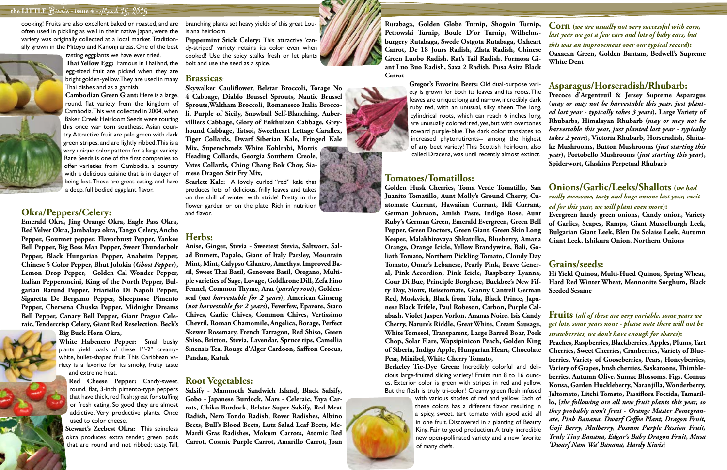### **the LITTLE** Birdie **- issue 4 -** March 15, 2015

cooking! Fruits are also excellent baked or roasted, and are often used in pickling as well in their native Japan, were the variety was originally collected at a local market. Traditionally grown in the Mitoyo and Kanonji areas. One of the best



tasting eggplants we have ever tried. **Thai Yellow Egg:** Famous in Thailand, the egg-sized fruit are picked when they are bright golden-yellow. They are used in many Thai dishes and as a garnish.

**Cambodian Green Giant:** Here is a large, round, flat variety from the kingdom of Cambodia. This was collected in 2004, when Baker Creek Heirloom Seeds were touring this once war torn southeast Asian country. Attractive fruit are pale green with dark green stripes, and are lightly ribbed. This is a very unique color pattern for a large variety. Rare Seeds is one of the first companies to offer varieties from Cambodia, a country with a delicious cuisine that is in danger of being lost. These are great eating, and have a deep, full bodied eggplant flavor.

### **Okra/Peppers/Celery:**

**Emerald Okra, Jing Orange Okra, Eagle Pass Okra, Red Velvet Okra, Jambalaya okra, Tango Celery, Ancho Pepper, Gourmet pepper, Flavorburst Pepper, Yankee Bell Pepper, Big Boss Man Pepper, Sweet Thunderbolt Pepper, Black Hungarian Pepper, Anaheim Pepper, Chinese 5 Color Pepper, Bhut Jolokia (***Ghost Pepper***), Lemon Drop Pepper, Golden Cal Wonder Pepper, Italian Pepperoncini, King of the North Pepper, Bulgarian Ratund Pepper, Friariello Di Napoli Pepper, Sigaretta De Bergamo Pepper, Sheepnose Pimento Pepper, Chervena Chuska Pepper, Midnight Dreams Bell Pepper, Canary Bell Pepper, Giant Prague Celeraic, Tendercrisp Celery, Giant Red Reselection, Beck's** 

**Big Buck Horn Okra,** 

**White Habenero Pepper:** Small bushy plants yield loads of these 1"-2" creamywhite, bullet-shaped fruit. This Caribbean variety is a favorite for its smoky, fruity taste and extreme heat.

**Red Cheese Pepper:** Candy-sweet, round, flat, 3-inch pimento-type peppers that have thick, red flesh; great for stuffing or fresh eating. So good they are almost addictive. Very productive plants. Once used to color cheese.

**Stewart's Zeebest Okra:** This spineless okra produces extra tender, green pods that are round and not ribbed; tasty. Tall, branching plants set heavy yields of this great Louisiana heirloom.

**Peppermint Stick Celery:** This attractive 'candy-striped' variety retains its color even when cooked! Use the spicy stalks fresh or let plants bolt and use the seed as a spice.

### **Brassicas**:

**Skywalker Cauliflower, Belstar Broccoli, Torage No 4 Cabbage, Diablo Brussel Sprouts, Nautic Brussel Sprouts,Waltham Broccoli, Romanesco Italia Broccoli, Purple of Sicily, Snowball Self-Blanching, Aubervilliers Cabbage, Glory of Enkhuizen Cabbage, Greyhound Cabbage, Tatsoi, Sweetheart Lettage Caraflex, Tiger Collards, Dwarf Siberian Kale, Fringed Kale Mix, Superschmelz White Kohlrabi, Morris Heading Collards, Georgia Southern Creole, Vates Collards, Ching Chang Bok Choy, Siamese Dragon Stir Fry Mix,** 

**Scarlett Kale:** A lovely curled "red" kale that produces lots of delicious, frilly leaves and takes on the chill of winter with stride! Pretty in the flower garden or on the plate. Rich in nutrition and flavor.

### **Herbs:**

**Anise, Ginger, Stevia - Sweetest Stevia, Saltwort, Salad Burnett, Papalo, Giant of Italy Parsley, Mountain Mint, Mint, Calypso Cilantro, Amethyst Improved Basil, Sweet Thai Basil, Genovese Basil, Oregano, Multiple varieties of Sage, Lovage, Goldkrone Dill, Zefa Fino Fennel, Common Thyme, Arat (***parsley root***), Goldenseal (***not harvestable for 2 years***), American Ginseng (***not harvestable for 2 years***), Feverfew, Epazote, Staro Chives, Garlic Chives, Common Chives, Vertissimo Chevril, Roman Chamomile, Angelica, Borage, Perfect Skewer Rosemary, French Tarragon, Red Shiso, Green Shiso, Britton, Stevia, Lavendar, Spruce tips, Camellia Sinensis Tea, Rouge d'Alger Cardoon, Saffron Crocus, Pandan, Katuk**

### **Root Vegetables:**

**Salsify - Mammoth Sandwich Island, Black Salsify, Gobo - Japanese Burdock, Mars - Celeraic, Yaya Carrots, Chiko Burdock, Belstar Super Salsify, Red Meat Radish, Nero Tondo Radish, Rover Radishes, Albino Beets, Bull's Blood Beets, Lutz Salad Leaf Beets, Mc-Mardi Gras Radishes, Mokum Carrots, Atomic Red Carrot, Cosmic Purple Carrot, Amarillo Carrot, Joan** 

### **Tomatoes/Tomatillos:**

**Rutabaga, Golden Globe Turnip, Shogoin Turnip, Petrowski Turnip, Boule D'or Turnip, Wilhelmsburgery Rutabaga, Swede Ostgota Rutabaga, Oxheart Carrot, De 18 Jours Radish, Zlata Radish, Chinese Green Luobo Radish, Rat's Tail Radish, Formosa Giant Luo Buo Radish, Saxa 2 Radish, Pusa Asita Black Carrot Corn (***we are usually not very successful with corn, last year we got a few ears and lots of baby ears, but this was an improvement over our typical record***): Oaxacan Green, Golden Bantam, Bedwell's Supreme White Dent**

**Gregor's Favorite Beets:** Old dual-purpose variety is grown for both its leaves and its roots. The leaves are unique: long and narrow, incredibly dark ruby red, with an unusual, silky sheen. The long, cylindrical roots, which can reach 6 inches long, are unusually colored: red, yes, but with overtones toward purple-blue. The dark color translates to increased phytonutirents-- among the highest of any beet variety! This Scottish heirloom, also called Dracena, was until recently almost extinct. **Asparagus/Horseradish/Rhubarb: Precoce d'Argenteuil & Jersey Supreme Asparagus (***may or may not be harvestable this year, just planted last year - typically takes 3 years***), Large Variety of Rhubarbs, Himalayan Rhubarb (***may or may not be harvestable this year, just planted last year - typically takes 2 years***), Victoria Rhubarb, Horseradish, Shiitake Mushrooms, Button Mushrooms (***just starting this year***), Portobello Mushrooms (***just starting this year***), Spiderwort, Glaskins Perpetual Rhubarb**

**Golden Husk Cherries, Toma Verde Tomatillo, San Juanito Tomatillo, Aunt Molly's Ground Cherry, Cuatomate Currant, Hawaiian Currant, Ildi Currant, German Johnson, Amish Paste, Indigo Rose, Aunt Ruby's German Green, Emerald Evergreen, Green Bell Pepper, Green Doctors, Green Giant, Green Skin Long Keeper, Malakhitovaya Shkatulka, Blueberry, Amana Orange, Orange Icicle, Yellow Brandywine, Bali, Goliath Tomato, Northern Pickling Tomato, Cloudy Day Tomato, Omar's Lebanese, Pearly Pink, Brave General, Pink Accordion, Pink Icicle, Raspberry Lyanna, Cour Di Bue, Principle Borghese, Buckbee's New Fifty Day, Sioux, Reisetomate, Granny Cantrell German Red, Moskvich, Black from Tula, Black Prince, Japanese Black Trifele, Paul Robeson, Carbon, Purple Calabash, Violet Jasper, Vorlon, Ananas Noire, Isis Candy Cherry, Nature's Riddle, Great White, Cream Sausage, White Tomesol, Transparent, Large Barred Boar, Pork Chop, Solar Flare, Wapsipinicon Peach, Golden King of Siberia, Indigo Apple, Hungarian Heart, Chocolate Pear, Minibel, White Cherry Tomato,**  *really awesome, tasty and huge onions last year, excited for this year, we will plant even more***): Evergreen hardy green onions, Candy onion, Variety of Garlics, Scapes, Ramps, Giant Musselburgh Leek, Bulgarian Giant Leek, Bleu De Solaise Leek, Autumn Giant Leek, Ishikura Onion, Northern Onions Grains/seeds: Hi Yield Quinoa, Multi-Hued Quinoa, Spring Wheat, Hard Red Winter Wheat, Mennonite Sorghum, Black Seeded Sesame Fruits (***all of these are very variable, some years we get lots, some years none - please note there will not be strawberries, we don't have enough for shares***): Peaches, Raspberries, Blackberries, Apples, Plums, Tart Cherries, Sweet Cherries, Cranberries, Variety of Blueberries, Variety of Gooseberries, Pears, Honeyberries,** 

**Berkeley Tie-Dye Green:** Incredibly colorful and delicious large-fruited slicing variety! Fruits run 8 to 16 ounces. Exterior color is green with stripes in red and yellow. But the flesh is truly tri-color! Creamy green flesh infused with various shades of red and yellow. Each of these colors has a different flavor resulting in a spicy, sweet, tart tomato with good acid all in one fruit. Discovered in a planting of Beauty King. Fair to good production. A truly incredible new open-pollinated variety, and a new favorite **Variety of Grapes, bush cherries, Saskatoons, Thimbleberries, Autumn Olive, Sumac Blossoms, Figs, Cornus Kousa, Garden Huckleberry, Naranjilla, Wonderberry, Jaltomato, Litchi Tomato, Passiflora Foetida, Tamarillo, {***the following are all new fruit plants this year, so they probably won't fruit - Orange Master Pomegranate, Pink Banana, Dwarf Coffee Plant, Dragon Fruit, Goji Berry, Mulberry, Possum Purple Passion Fruit, Truly Tiny Banana, Edgar's Baby Dragon Fruit, Musa* 

# **Onions/Garlic/Leeks/Shallots (***we had*

of many chefs. *'Dwarf Nam Wa' Banana, Hardy Kiwis***}**